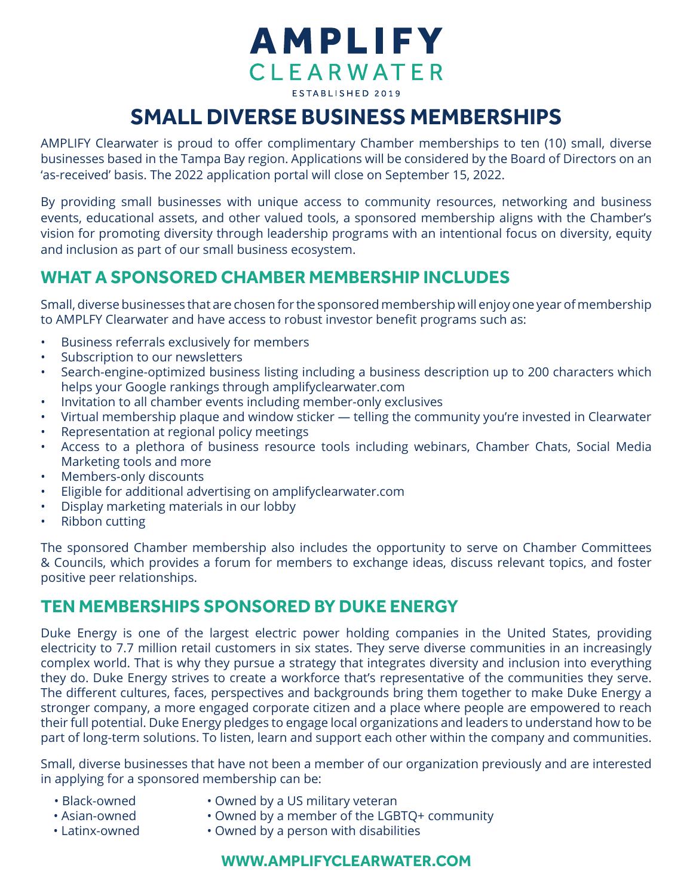# **AMPLIFY CLEARWATER** ESTABLISHED 2019

## **SMALL DIVERSE BUSINESS MEMBERSHIPS**

AMPLIFY Clearwater is proud to offer complimentary Chamber memberships to ten (10) small, diverse businesses based in the Tampa Bay region. Applications will be considered by the Board of Directors on an 'as-received' basis. The 2022 application portal will close on September 15, 2022.

By providing small businesses with unique access to community resources, networking and business events, educational assets, and other valued tools, a sponsored membership aligns with the Chamber's vision for promoting diversity through leadership programs with an intentional focus on diversity, equity and inclusion as part of our small business ecosystem.

### **WHAT A SPONSORED CHAMBER MEMBERSHIP INCLUDES**

Small, diverse businesses that are chosen for the sponsored membership will enjoy one year of membership to AMPLFY Clearwater and have access to robust investor benefit programs such as:

- Business referrals exclusively for members
- Subscription to our newsletters
- Search-engine-optimized business listing including a business description up to 200 characters which helps your Google rankings through amplifyclearwater.com
- Invitation to all chamber events including member-only exclusives
- Virtual membership plaque and window sticker telling the community you're invested in Clearwater
- Representation at regional policy meetings
- Access to a plethora of business resource tools including webinars, Chamber Chats, Social Media Marketing tools and more
- Members-only discounts
- Eligible for additional advertising on amplifyclearwater.com
- Display marketing materials in our lobby
- Ribbon cutting

The sponsored Chamber membership also includes the opportunity to serve on Chamber Committees & Councils, which provides a forum for members to exchange ideas, discuss relevant topics, and foster positive peer relationships.

### **TEN MEMBERSHIPS SPONSORED BY DUKE ENERGY**

Duke Energy is one of the largest electric power holding companies in the United States, providing electricity to 7.7 million retail customers in six states. They serve diverse communities in an increasingly complex world. That is why they pursue a strategy that integrates diversity and inclusion into everything they do. Duke Energy strives to create a workforce that's representative of the communities they serve. The different cultures, faces, perspectives and backgrounds bring them together to make Duke Energy a stronger company, a more engaged corporate citizen and a place where people are empowered to reach their full potential. Duke Energy pledges to engage local organizations and leaders to understand how to be part of long-term solutions. To listen, learn and support each other within the company and communities.

Small, diverse businesses that have not been a member of our organization previously and are interested in applying for a sponsored membership can be:

- Black-owned • Asian-owned
- Owned by a US military veteran
- Owned by a member of the LGBTQ+ community
- Latinx-owned
- Owned by a person with disabilities

#### **WWW.AMPLIFYCLEARWATER.COM**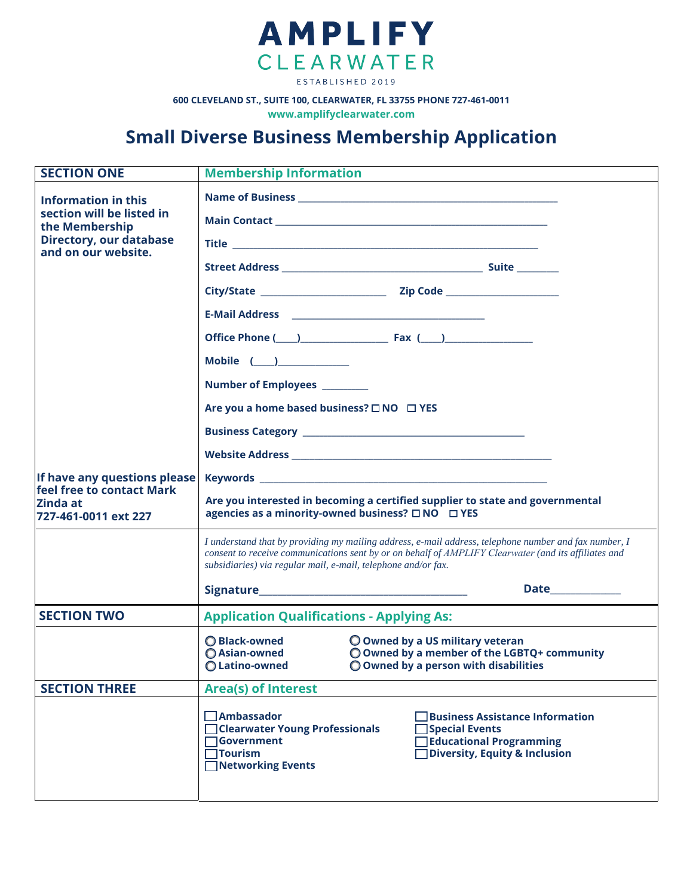

**600 CLEVELAND ST., SUITE 100, CLEARWATER, FL 33755 PHONE 727-461-0011**

**www.[amplifyclearwater.c](http://www.clearwaterflorida.org/)om**

## **Small Diverse Business Membership Application**

| <b>SECTION ONE</b>                                                 | <b>Membership Information</b>                                                                                                                                                                                                                                                  |  |  |  |
|--------------------------------------------------------------------|--------------------------------------------------------------------------------------------------------------------------------------------------------------------------------------------------------------------------------------------------------------------------------|--|--|--|
| Information in this<br>section will be listed in<br>the Membership |                                                                                                                                                                                                                                                                                |  |  |  |
|                                                                    |                                                                                                                                                                                                                                                                                |  |  |  |
| Directory, our database<br>and on our website.                     |                                                                                                                                                                                                                                                                                |  |  |  |
|                                                                    |                                                                                                                                                                                                                                                                                |  |  |  |
|                                                                    |                                                                                                                                                                                                                                                                                |  |  |  |
|                                                                    |                                                                                                                                                                                                                                                                                |  |  |  |
|                                                                    |                                                                                                                                                                                                                                                                                |  |  |  |
|                                                                    | Mobile $($                                                                                                                                                                                                                                                                     |  |  |  |
|                                                                    | Number of Employees ________                                                                                                                                                                                                                                                   |  |  |  |
|                                                                    | Are you a home based business? □ NO □ YES                                                                                                                                                                                                                                      |  |  |  |
| If have any questions please<br>feel free to contact Mark          |                                                                                                                                                                                                                                                                                |  |  |  |
|                                                                    |                                                                                                                                                                                                                                                                                |  |  |  |
|                                                                    |                                                                                                                                                                                                                                                                                |  |  |  |
| Zinda at<br>727-461-0011 ext 227                                   | Are you interested in becoming a certified supplier to state and governmental<br>agencies as a minority-owned business? □ NO □ YES                                                                                                                                             |  |  |  |
|                                                                    | I understand that by providing my mailing address, e-mail address, telephone number and fax number, I<br>consent to receive communications sent by or on behalf of AMPLIFY Clearwater (and its affiliates and<br>subsidiaries) via regular mail, e-mail, telephone and/or fax. |  |  |  |
|                                                                    | Date______________                                                                                                                                                                                                                                                             |  |  |  |
| <b>SECTION TWO</b>                                                 | <b>Application Qualifications - Applying As:</b>                                                                                                                                                                                                                               |  |  |  |
|                                                                    | ◯ Black-owned<br>O Owned by a US military veteran<br>O Owned by a member of the LGBTQ+ community<br>◯ Asian-owned<br>O Owned by a person with disabilities<br>O Latino-owned                                                                                                   |  |  |  |
| <b>SECTION THREE</b>                                               | <b>Area(s) of Interest</b>                                                                                                                                                                                                                                                     |  |  |  |
|                                                                    | $\Box$ Ambassador<br><b>Business Assistance Information</b><br><b>Clearwater Young Professionals</b><br><b>Special Events</b><br><b>Government</b><br>Educational Programming<br>$\sqrt{ }$ Tourism<br><b>Diversity, Equity &amp; Inclusion</b><br><b>Networking Events</b>    |  |  |  |